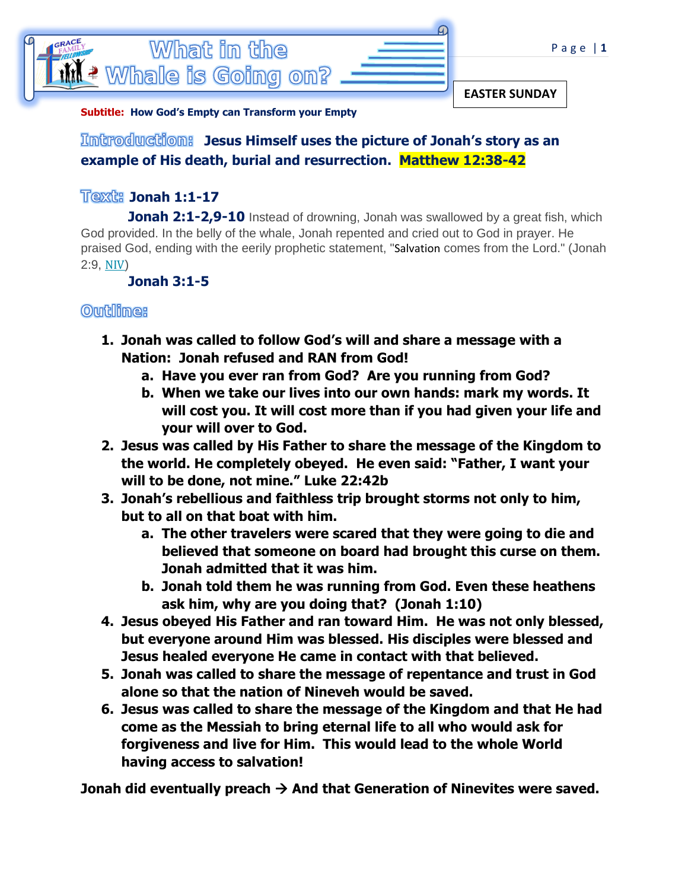

**Subtitle: How God's Empty can Transform your Empty**

## **Jesus Himself uses the picture of Jonah's story as an example of His death, burial and resurrection. Matthew 12:38-42**

## **Jonah 1:1-17**

**Jonah 2:1-2,9-10** Instead of drowning, Jonah was swallowed by a great fish, which God provided. In the belly of the whale, Jonah repented and cried out to God in prayer. He praised God, ending with the eerily prophetic statement, "[Salvation](https://www.learnreligions.com/what-is-gods-plan-of-salvation-700502) comes from the Lord." (Jonah 2:9, [NIV](https://www.learnreligions.com/new-international-version-niv-700664))

 **Jonah 3:1-5**

## **Outilines**

- **1. Jonah was called to follow God's will and share a message with a Nation: Jonah refused and RAN from God!** 
	- **a. Have you ever ran from God? Are you running from God?**
	- **b. When we take our lives into our own hands: mark my words. It will cost you. It will cost more than if you had given your life and your will over to God.**
- **2. Jesus was called by His Father to share the message of the Kingdom to the world. He completely obeyed. He even said: "Father, I want your will to be done, not mine." Luke 22:42b**
- **3. Jonah's rebellious and faithless trip brought storms not only to him, but to all on that boat with him.** 
	- **a. The other travelers were scared that they were going to die and believed that someone on board had brought this curse on them. Jonah admitted that it was him.**
	- **b. Jonah told them he was running from God. Even these heathens ask him, why are you doing that? (Jonah 1:10)**
- **4. Jesus obeyed His Father and ran toward Him. He was not only blessed, but everyone around Him was blessed. His disciples were blessed and Jesus healed everyone He came in contact with that believed.**
- **5. Jonah was called to share the message of repentance and trust in God alone so that the nation of Nineveh would be saved.**
- **6. Jesus was called to share the message of the Kingdom and that He had come as the Messiah to bring eternal life to all who would ask for forgiveness and live for Him. This would lead to the whole World having access to salvation!**

**Jonah did eventually preach → And that Generation of Ninevites were saved.**